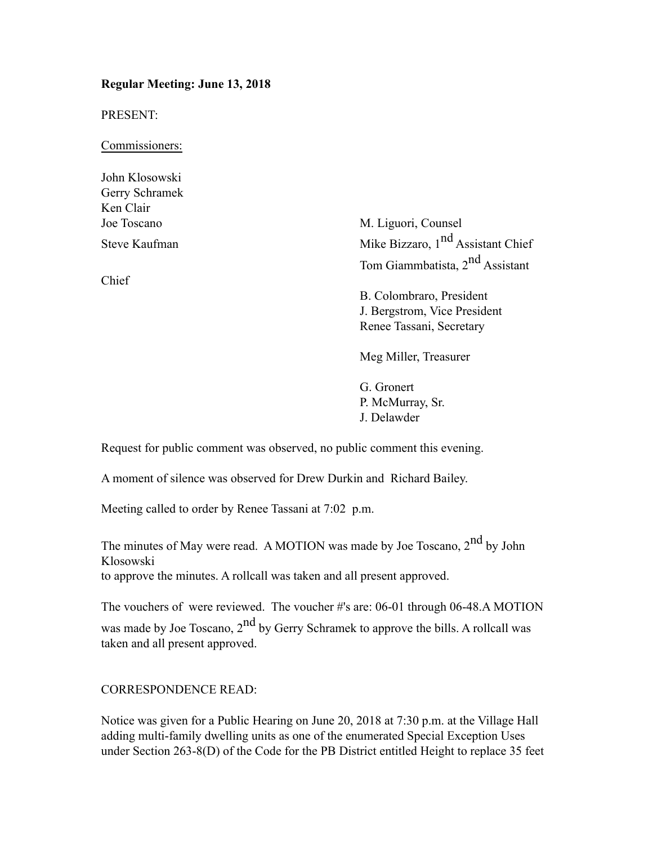#### **Regular Meeting: June 13, 2018**

PRESENT:

Commissioners:

John Klosowski Gerry Schramek Ken Clair

Chief

Joe Toscano M. Liguori, Counsel Steve Kaufman Mike Bizzaro, 1<sup>nd</sup> Assistant Chief Tom Giammbatista, 2nd Assistant

> B. Colombraro, President J. Bergstrom, Vice President Renee Tassani, Secretary

Meg Miller, Treasurer

G. Gronert P. McMurray, Sr. J. Delawder

Request for public comment was observed, no public comment this evening.

A moment of silence was observed for Drew Durkin and Richard Bailey.

Meeting called to order by Renee Tassani at 7:02 p.m.

The minutes of May were read. A MOTION was made by Joe Toscano,  $2<sup>nd</sup>$  by John Klosowski to approve the minutes. A rollcall was taken and all present approved.

The vouchers of were reviewed. The voucher #'s are: 06-01 through 06-48.A MOTION was made by Joe Toscano,  $2<sup>nd</sup>$  by Gerry Schramek to approve the bills. A rollcall was taken and all present approved.

CORRESPONDENCE READ:

Notice was given for a Public Hearing on June 20, 2018 at 7:30 p.m. at the Village Hall adding multi-family dwelling units as one of the enumerated Special Exception Uses under Section 263-8(D) of the Code for the PB District entitled Height to replace 35 feet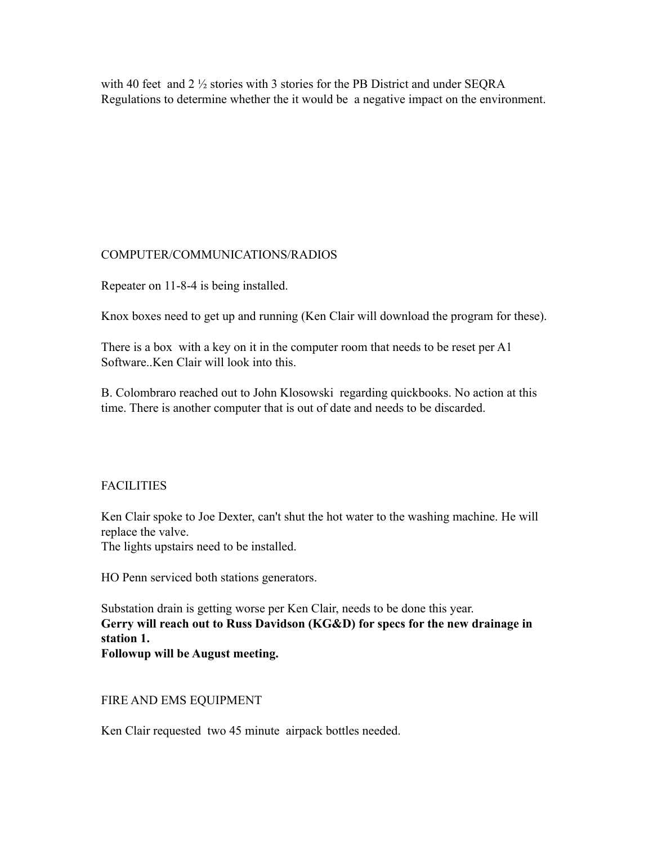with 40 feet and 2  $\frac{1}{2}$  stories with 3 stories for the PB District and under SEORA Regulations to determine whether the it would be a negative impact on the environment.

## COMPUTER/COMMUNICATIONS/RADIOS

Repeater on 11-8-4 is being installed.

Knox boxes need to get up and running (Ken Clair will download the program for these).

There is a box with a key on it in the computer room that needs to be reset per A1 Software..Ken Clair will look into this.

B. Colombraro reached out to John Klosowski regarding quickbooks. No action at this time. There is another computer that is out of date and needs to be discarded.

# FACILITIES

Ken Clair spoke to Joe Dexter, can't shut the hot water to the washing machine. He will replace the valve.

The lights upstairs need to be installed.

HO Penn serviced both stations generators.

Substation drain is getting worse per Ken Clair, needs to be done this year. **Gerry will reach out to Russ Davidson (KG&D) for specs for the new drainage in station 1. Followup will be August meeting.**

## FIRE AND EMS EQUIPMENT

Ken Clair requested two 45 minute airpack bottles needed.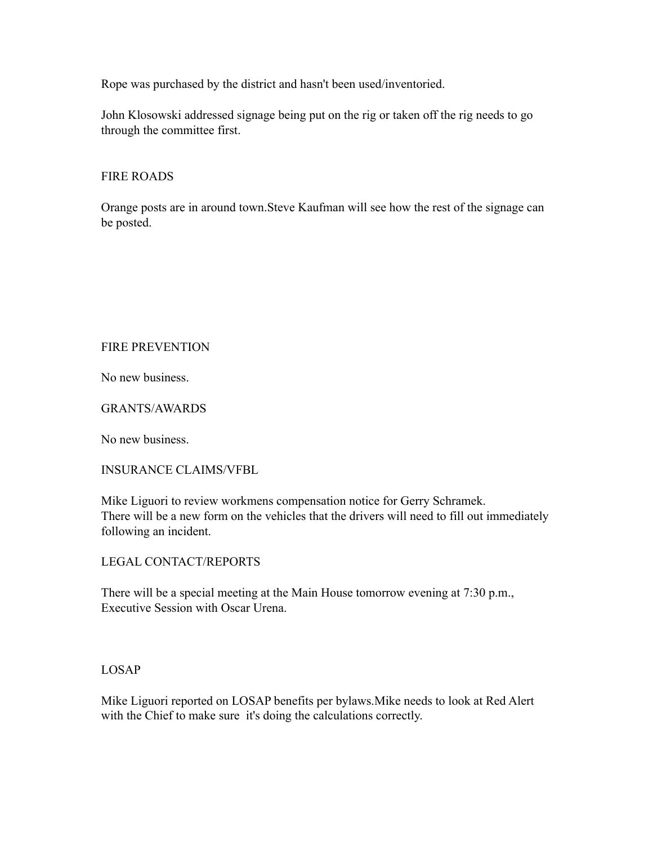Rope was purchased by the district and hasn't been used/inventoried.

John Klosowski addressed signage being put on the rig or taken off the rig needs to go through the committee first.

#### FIRE ROADS

Orange posts are in around town.Steve Kaufman will see how the rest of the signage can be posted.

## FIRE PREVENTION

No new business.

#### GRANTS/AWARDS

No new business.

#### INSURANCE CLAIMS/VFBL

Mike Liguori to review workmens compensation notice for Gerry Schramek. There will be a new form on the vehicles that the drivers will need to fill out immediately following an incident.

#### LEGAL CONTACT/REPORTS

There will be a special meeting at the Main House tomorrow evening at 7:30 p.m., Executive Session with Oscar Urena.

#### LOSAP

Mike Liguori reported on LOSAP benefits per bylaws.Mike needs to look at Red Alert with the Chief to make sure it's doing the calculations correctly.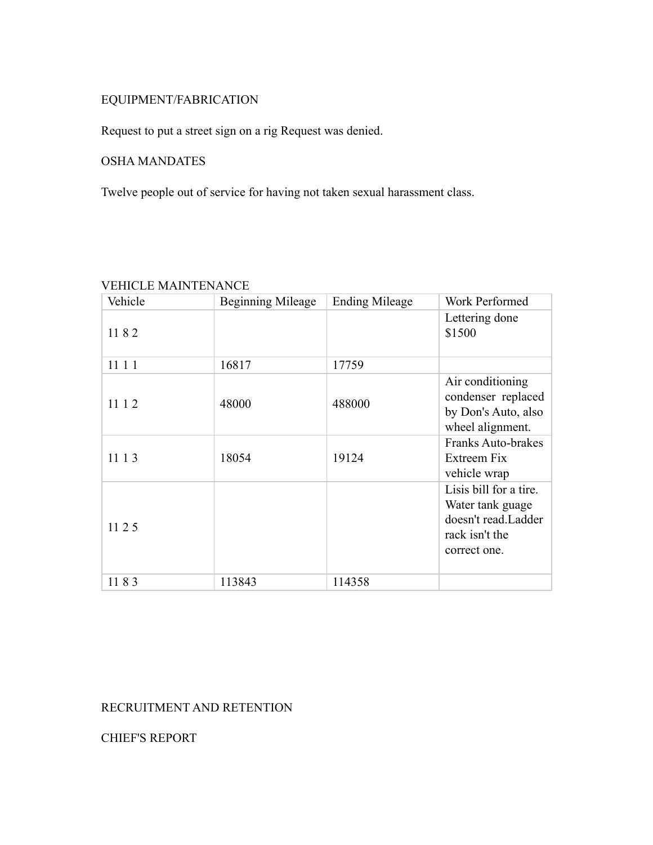# EQUIPMENT/FABRICATION

Request to put a street sign on a rig Request was denied.

# OSHA MANDATES

Twelve people out of service for having not taken sexual harassment class.

| Vehicle | Beginning Mileage | <b>Ending Mileage</b> | Work Performed                                                                                      |
|---------|-------------------|-----------------------|-----------------------------------------------------------------------------------------------------|
| 1182    |                   |                       | Lettering done<br>\$1500                                                                            |
| 11 1 1  | 16817             | 17759                 |                                                                                                     |
| 11 1 2  | 48000             | 488000                | Air conditioning<br>condenser replaced<br>by Don's Auto, also<br>wheel alignment.                   |
| 11 1 3  | 18054             | 19124                 | <b>Franks Auto-brakes</b><br>Extreem Fix<br>vehicle wrap                                            |
| 11 2 5  |                   |                       | Lisis bill for a tire.<br>Water tank guage<br>doesn't read.Ladder<br>rack isn't the<br>correct one. |
| 1183    | 113843            | 114358                |                                                                                                     |

# VEHICLE MAINTENANCE

# RECRUITMENT AND RETENTION

CHIEF'S REPORT